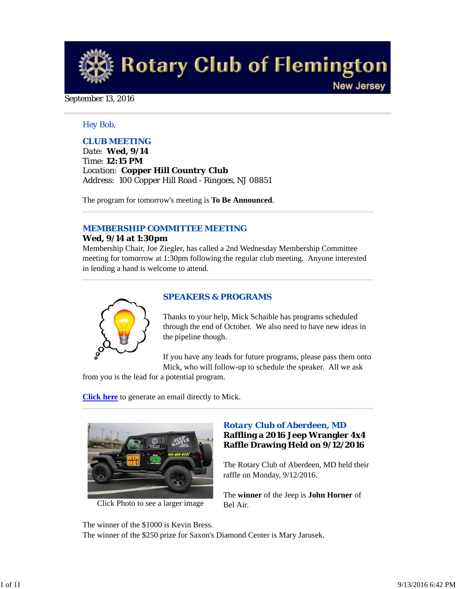

## September 13, 2016

## *Hey Bob,*

# *CLUB MEETING*

*Date: Wed, 9/14 Time: 12:15 PM Location: Copper Hill Country Club Address: 100 Copper Hill Road - Ringoes, NJ 08851*

The program for tomorrow's meeting is **To Be Announced**.

# *MEMBERSHIP COMMITTEE MEETING*

## **Wed, 9/14 at 1:30pm**

Membership Chair, Joe Ziegler, has called a 2nd Wednesday Membership Committee meeting for tomorrow at 1:30pm following the regular club meeting. Anyone interested in lending a hand is welcome to attend.



# *SPEAKERS & PROGRAMS*

Thanks to your help, Mick Schaible has programs scheduled through the end of October. We also need to have new ideas in the pipeline though.

If you have any leads for future programs, please pass them onto Mick, who will follow-up to schedule the speaker. All we ask

from you is the lead for a potential program.

**Click here** to generate an email directly to Mick.



Click Photo to see a larger image

# *Rotary Club of Aberdeen, MD* **Raffling a 2016 Jeep Wrangler 4x4 Raffle Drawing Held on 9/12/2016**

The Rotary Club of Aberdeen, MD held their raffle on Monday, 9/12/2016.

The **winner** of the Jeep is **John Horner** of Bel Air.

The winner of the \$1000 is Kevin Bress. The winner of the \$250 prize for Saxon's Diamond Center is Mary Jarusek.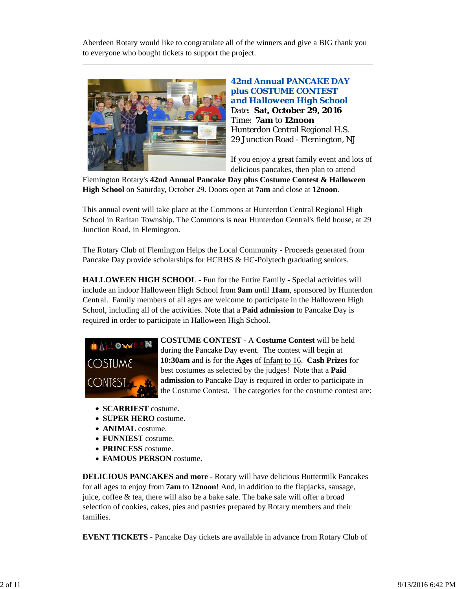Aberdeen Rotary would like to congratulate all of the winners and give a BIG thank you to everyone who bought tickets to support the project.



**42nd Annual PANCAKE DAY plus COSTUME CONTEST**  *and Halloween High School* Date: **Sat, October 29, 2016** Time: **7am** to **12noon** Hunterdon Central Regional H.S. 29 Junction Road - Flemington, NJ

If you enjoy a great family event and lots of delicious pancakes, then plan to attend

Flemington Rotary's **42nd Annual Pancake Day plus Costume Contest & Halloween High School** on Saturday, October 29. Doors open at **7am** and close at **12noon**.

This annual event will take place at the Commons at Hunterdon Central Regional High School in Raritan Township. The Commons is near Hunterdon Central's field house, at 29 Junction Road, in Flemington.

The Rotary Club of Flemington Helps the Local Community - Proceeds generated from Pancake Day provide scholarships for HCRHS & HC-Polytech graduating seniors.

**HALLOWEEN HIGH SCHOOL** - Fun for the Entire Family - Special activities will include an indoor Halloween High School from **9am** until **11am**, sponsored by Hunterdon Central. Family members of all ages are welcome to participate in the Halloween High School, including all of the activities. Note that a **Paid admission** to Pancake Day is required in order to participate in Halloween High School.



**COSTUME CONTEST** - A **Costume Contest** will be held during the Pancake Day event. The contest will begin at **10:30am** and is for the **Ages** of Infant to 16. **Cash Prizes** for best costumes as selected by the judges! Note that a **Paid admission** to Pancake Day is required in order to participate in the Costume Contest. The categories for the costume contest are:

- **SCARRIEST** costume.
- **SUPER HERO** costume.
- **ANIMAL** costume.
- **FUNNIEST** costume.
- **PRINCESS** costume.
- **FAMOUS PERSON** costume.

**DELICIOUS PANCAKES and more** - Rotary will have delicious Buttermilk Pancakes for all ages to enjoy from **7am** to **12noon**! And, in addition to the flapjacks, sausage, juice, coffee & tea, there will also be a bake sale. The bake sale will offer a broad selection of cookies, cakes, pies and pastries prepared by Rotary members and their families.

**EVENT TICKETS** - Pancake Day tickets are available in advance from Rotary Club of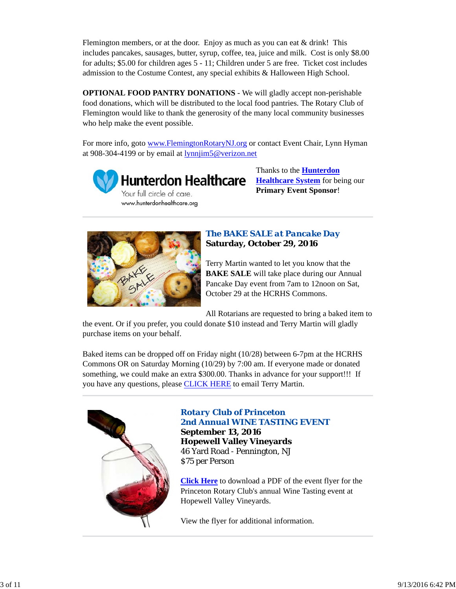Flemington members, or at the door. Enjoy as much as you can eat  $\&$  drink! This includes pancakes, sausages, butter, syrup, coffee, tea, juice and milk. Cost is only \$8.00 for adults; \$5.00 for children ages 5 - 11; Children under 5 are free. Ticket cost includes admission to the Costume Contest, any special exhibits & Halloween High School.

**OPTIONAL FOOD PANTRY DONATIONS** - We will gladly accept non-perishable food donations, which will be distributed to the local food pantries. The Rotary Club of Flemington would like to thank the generosity of the many local community businesses who help make the event possible.

For more info, goto www.FlemingtonRotaryNJ.org or contact Event Chair, Lynn Hyman at 908-304-4199 or by email at lynnjim5@verizon.net



**Hunterdon Healthcare** Your full circle of care. www.hunterdonhealthcare.org

Thanks to the **Hunterdon Healthcare System** for being our **Primary Event Sponsor**!



# *The BAKE SALE at Pancake Day* **Saturday, October 29, 2016**

Terry Martin wanted to let you know that the **BAKE SALE** will take place during our Annual Pancake Day event from 7am to 12noon on Sat, October 29 at the HCRHS Commons.

All Rotarians are requested to bring a baked item to

the event. Or if you prefer, you could donate \$10 instead and Terry Martin will gladly purchase items on your behalf.

Baked items can be dropped off on Friday night (10/28) between 6-7pm at the HCRHS Commons OR on Saturday Morning (10/29) by 7:00 am. If everyone made or donated something, we could make an extra \$300.00. Thanks in advance for your support!!! If you have any questions, please CLICK HERE to email Terry Martin.



# *Rotary Club of Princeton 2nd Annual WINE TASTING EVENT* **September 13, 2016 Hopewell Valley Vineyards**

46 Yard Road - Pennington, NJ \$75 per Person

**Click Here** to download a PDF of the event flyer for the Princeton Rotary Club's annual Wine Tasting event at Hopewell Valley Vineyards.

View the flyer for additional information.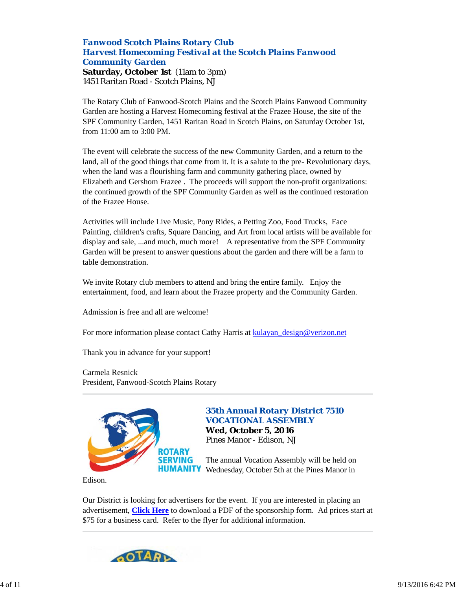## *Fanwood Scotch Plains Rotary Club Harvest Homecoming Festival at the Scotch Plains Fanwood Community Garden* **Saturday, October 1st** (11am to 3pm) 1451 Raritan Road - Scotch Plains, NJ

The Rotary Club of Fanwood-Scotch Plains and the Scotch Plains Fanwood Community Garden are hosting a Harvest Homecoming festival at the Frazee House, the site of the SPF Community Garden, 1451 Raritan Road in Scotch Plains, on Saturday October 1st, from 11:00 am to 3:00 PM.

The event will celebrate the success of the new Community Garden, and a return to the land, all of the good things that come from it. It is a salute to the pre- Revolutionary days, when the land was a flourishing farm and community gathering place, owned by Elizabeth and Gershom Frazee . The proceeds will support the non-profit organizations: the continued growth of the SPF Community Garden as well as the continued restoration of the Frazee House.

Activities will include Live Music, Pony Rides, a Petting Zoo, Food Trucks, Face Painting, children's crafts, Square Dancing, and Art from local artists will be available for display and sale, ...and much, much more! A representative from the SPF Community Garden will be present to answer questions about the garden and there will be a farm to table demonstration.

We invite Rotary club members to attend and bring the entire family. Enjoy the entertainment, food, and learn about the Frazee property and the Community Garden.

Admission is free and all are welcome!

For more information please contact Cathy Harris at kulayan\_design@verizon.net

Thank you in advance for your support!

Carmela Resnick President, Fanwood-Scotch Plains Rotary



# *35th Annual Rotary District 7510 VOCATIONAL ASSEMBLY*

**Wed, October 5, 2016** Pines Manor - Edison, NJ

The annual Vocation Assembly will be held on Wednesday, October 5th at the Pines Manor in

Edison.

Our District is looking for advertisers for the event. If you are interested in placing an advertisement, **Click Here** to download a PDF of the sponsorship form. Ad prices start at \$75 for a business card. Refer to the flyer for additional information.

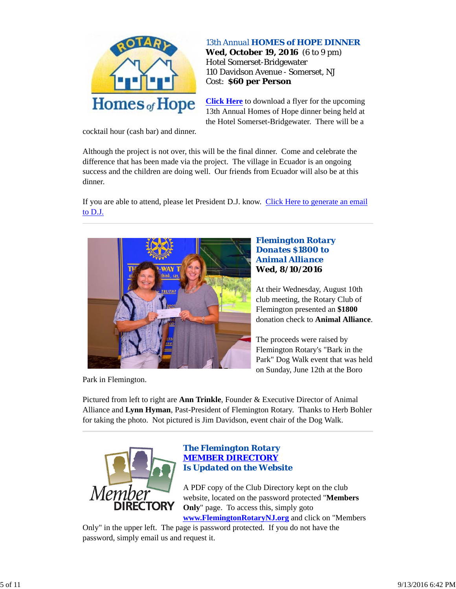

## *13th Annual HOMES of HOPE DINNER*

**Wed, October 19, 2016** (6 to 9 pm) Hotel Somerset-Bridgewater 110 Davidson Avenue - Somerset, NJ Cost: **\$60 per Person**

**Click Here** to download a flyer for the upcoming 13th Annual Homes of Hope dinner being held at the Hotel Somerset-Bridgewater. There will be a

cocktail hour (cash bar) and dinner.

Although the project is not over, this will be the final dinner. Come and celebrate the difference that has been made via the project. The village in Ecuador is an ongoing success and the children are doing well. Our friends from Ecuador will also be at this dinner.

If you are able to attend, please let President D.J. know. Click Here to generate an email to D.J.



# *Flemington Rotary Donates \$1800 to Animal Alliance* **Wed, 8/10/2016**

At their Wednesday, August 10th club meeting, the Rotary Club of Flemington presented an **\$1800** donation check to **Animal Alliance**.

The proceeds were raised by Flemington Rotary's "Bark in the Park" Dog Walk event that was held on Sunday, June 12th at the Boro

Park in Flemington.

Pictured from left to right are **Ann Trinkle**, Founder & Executive Director of Animal Alliance and **Lynn Hyman**, Past-President of Flemington Rotary. Thanks to Herb Bohler for taking the photo. Not pictured is Jim Davidson, event chair of the Dog Walk.



# *The Flemington Rotary MEMBER DIRECTORY Is Updated on the Website*

A PDF copy of the Club Directory kept on the club website, located on the password protected "**Members Only**" page. To access this, simply goto **www.FlemingtonRotaryNJ.org** and click on "Members

Only" in the upper left. The page is password protected. If you do not have the password, simply email us and request it.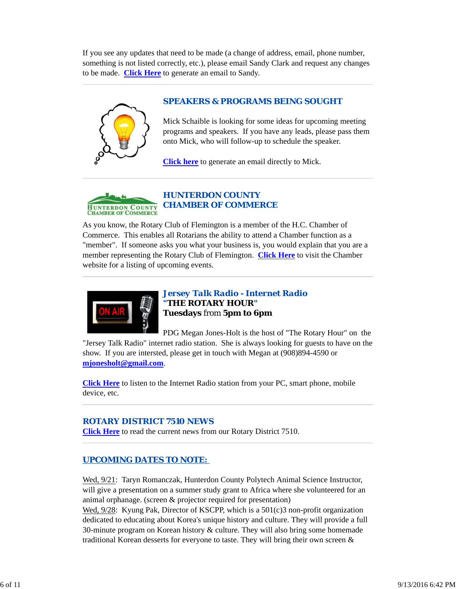If you see any updates that need to be made (a change of address, email, phone number, something is not listed correctly, etc.), please email Sandy Clark and request any changes to be made. **Click Here** to generate an email to Sandy.

# *SPEAKERS & PROGRAMS BEING SOUGHT*

Mick Schaible is looking for some ideas for upcoming meeting programs and speakers. If you have any leads, please pass them onto Mick, who will follow-up to schedule the speaker.

**Click here** to generate an email directly to Mick.



As you know, the Rotary Club of Flemington is a member of the H.C. Chamber of Commerce. This enables all Rotarians the ability to attend a Chamber function as a "member". If someone asks you what your business is, you would explain that you are a member representing the Rotary Club of Flemington. **Click Here** to visit the Chamber website for a listing of upcoming events.



# *Jersey Talk Radio - Internet Radio "THE ROTARY HOUR"* **Tuesdays** from **5pm to 6pm**

PDG Megan Jones-Holt is the host of "The Rotary Hour" on the "Jersey Talk Radio" internet radio station. She is always looking for guests to have on the show. If you are intersted, please get in touch with Megan at (908)894-4590 or **mjonesholt@gmail.com**.

**Click Here** to listen to the Internet Radio station from your PC, smart phone, mobile device, etc.

# *ROTARY DISTRICT 7510 NEWS*

**Click Here** to read the current news from our Rotary District 7510.

# *UPCOMING DATES TO NOTE:*

Wed, 9/21: Taryn Romanczak, Hunterdon County Polytech Animal Science Instructor, will give a presentation on a summer study grant to Africa where she volunteered for an animal orphanage. (screen & projector required for presentation)

Wed, 9/28: Kyung Pak, Director of KSCPP, which is a 501(c)3 non-profit organization dedicated to educating about Korea's unique history and culture. They will provide a full 30-minute program on Korean history & culture. They will also bring some homemade traditional Korean desserts for everyone to taste. They will bring their own screen &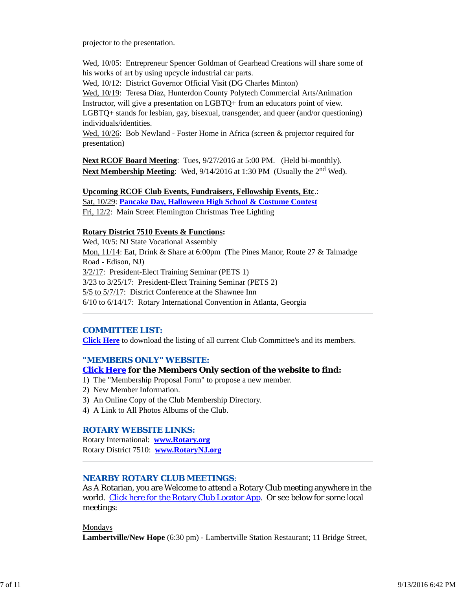projector to the presentation.

Wed, 10/05: Entrepreneur Spencer Goldman of Gearhead Creations will share some of his works of art by using upcycle industrial car parts.

Wed, 10/12: District Governor Official Visit (DG Charles Minton)

Wed, 10/19: Teresa Diaz, Hunterdon County Polytech Commercial Arts/Animation Instructor, will give a presentation on LGBTQ+ from an educators point of view. LGBTQ+ stands for lesbian, gay, bisexual, transgender, and queer (and/or questioning) individuals/identities.

Wed,  $10/26$ : Bob Newland - Foster Home in Africa (screen & projector required for presentation)

**Next RCOF Board Meeting**: Tues,  $9/27/2016$  at 5:00 PM. (Held bi-monthly). **Next Membership Meeting**: Wed,  $9/14/2016$  at 1:30 PM (Usually the 2<sup>nd</sup> Wed).

## **Upcoming RCOF Club Events, Fundraisers, Fellowship Events, Etc**.:

Sat, 10/29: **Pancake Day, Halloween High School & Costume Contest** Fri, 12/2: Main Street Flemington Christmas Tree Lighting

## **Rotary District 7510 Events & Functions:**

Wed, 10/5: NJ State Vocational Assembly Mon, 11/14: Eat, Drink & Share at 6:00pm (The Pines Manor, Route 27 & Talmadge Road - Edison, NJ) 3/2/17: President-Elect Training Seminar (PETS 1) 3/23 to 3/25/17: President-Elect Training Seminar (PETS 2) 5/5 to 5/7/17: District Conference at the Shawnee Inn 6/10 to 6/14/17: Rotary International Convention in Atlanta, Georgia

## *COMMITTEE LIST:*

**Click Here** to download the listing of all current Club Committee's and its members.

## *"MEMBERS ONLY" WEBSITE:*

#### **Click Here for the Members Only section of the website to find:**

- 1) The "Membership Proposal Form" to propose a new member.
- 2) New Member Information.
- 3) An Online Copy of the Club Membership Directory.
- 4) A Link to All Photos Albums of the Club.

#### *ROTARY WEBSITE LINKS:*

Rotary International: **www.Rotary.org** Rotary District 7510: **www.RotaryNJ.org**

# *NEARBY ROTARY CLUB MEETINGS:*

As A Rotarian, you are Welcome to attend a Rotary Club meeting anywhere in the world. Click here for the Rotary Club Locator App. Or see below for some local meetings:

Mondays

**Lambertville/New Hope** (6:30 pm) - Lambertville Station Restaurant; 11 Bridge Street,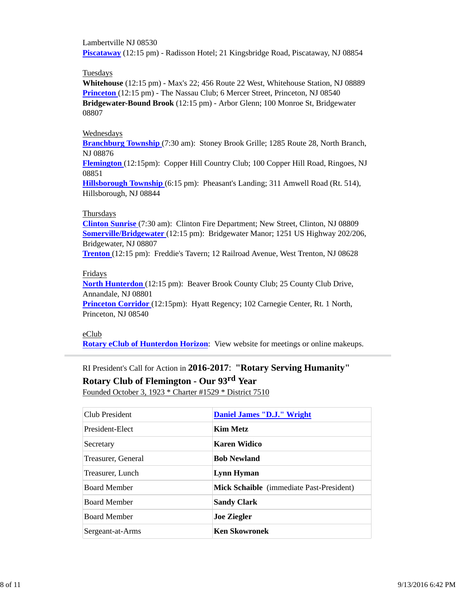Lambertville NJ 08530 **Piscataway** (12:15 pm) - Radisson Hotel; 21 Kingsbridge Road, Piscataway, NJ 08854

### Tuesdays

**Whitehouse** (12:15 pm) - Max's 22; 456 Route 22 West, Whitehouse Station, NJ 08889 **Princeton** (12:15 pm) - The Nassau Club; 6 Mercer Street, Princeton, NJ 08540 **Bridgewater-Bound Brook** (12:15 pm) - Arbor Glenn; 100 Monroe St, Bridgewater 08807

#### Wednesdays

**Branchburg Township** (7:30 am): Stoney Brook Grille; 1285 Route 28, North Branch, NJ 08876

**Flemington** (12:15pm): Copper Hill Country Club; 100 Copper Hill Road, Ringoes, NJ 08851

**Hillsborough Township** (6:15 pm): Pheasant's Landing; 311 Amwell Road (Rt. 514), Hillsborough, NJ 08844

#### Thursdays

**Clinton Sunrise** (7:30 am): Clinton Fire Department; New Street, Clinton, NJ 08809 **Somerville/Bridgewater** (12:15 pm): Bridgewater Manor; 1251 US Highway 202/206, Bridgewater, NJ 08807

**Trenton** (12:15 pm): Freddie's Tavern; 12 Railroad Avenue, West Trenton, NJ 08628

## Fridays

**North Hunterdon** (12:15 pm): Beaver Brook County Club; 25 County Club Drive, Annandale, NJ 08801

**Princeton Corridor** (12:15pm): Hyatt Regency; 102 Carnegie Center, Rt. 1 North, Princeton, NJ 08540

## eClub

**Rotary eClub of Hunterdon Horizon**: View website for meetings or online makeups.

# RI President's Call for Action in **2016-2017**: **"Rotary Serving Humanity" Rotary Club of Flemington - Our 93rd Year**

Founded October 3, 1923 \* Charter #1529 \* District 7510

| <b>Club President</b> | <b>Daniel James "D.J." Wright</b>               |  |
|-----------------------|-------------------------------------------------|--|
| President-Elect       | <b>Kim Metz</b>                                 |  |
| Secretary             | <b>Karen Widico</b>                             |  |
| Treasurer, General    | <b>Bob Newland</b>                              |  |
| Treasurer, Lunch      | Lynn Hyman                                      |  |
| <b>Board Member</b>   | <b>Mick Schaible</b> (immediate Past-President) |  |
| <b>Board Member</b>   | <b>Sandy Clark</b>                              |  |
| <b>Board Member</b>   | <b>Joe Ziegler</b>                              |  |
| Sergeant-at-Arms      | <b>Ken Skowronek</b>                            |  |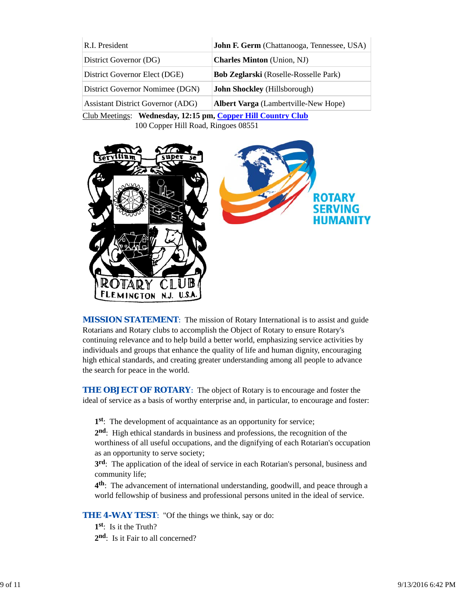| R.I. President                           | John F. Germ (Chattanooga, Tennessee, USA)   |
|------------------------------------------|----------------------------------------------|
| District Governor (DG)                   | <b>Charles Minton</b> (Union, NJ)            |
| District Governor Elect (DGE)            | <b>Bob Zeglarski</b> (Roselle-Rosselle Park) |
| District Governor Nomimee (DGN)          | <b>John Shockley</b> (Hillsborough)          |
| <b>Assistant District Governor (ADG)</b> | <b>Albert Varga</b> (Lambertville-New Hope)  |
|                                          |                                              |

Club Meetings: **Wednesday, 12:15 pm, Copper Hill Country Club** 100 Copper Hill Road, Ringoes 08551



*MISSION STATEMENT*: The mission of Rotary International is to assist and guide Rotarians and Rotary clubs to accomplish the Object of Rotary to ensure Rotary's continuing relevance and to help build a better world, emphasizing service activities by individuals and groups that enhance the quality of life and human dignity, encouraging high ethical standards, and creating greater understanding among all people to advance the search for peace in the world.

**THE OBJECT OF ROTARY:** The object of Rotary is to encourage and foster the ideal of service as a basis of worthy enterprise and, in particular, to encourage and foster:

**1st**: The development of acquaintance as an opportunity for service;

**2nd**: High ethical standards in business and professions, the recognition of the worthiness of all useful occupations, and the dignifying of each Rotarian's occupation as an opportunity to serve society;

**3rd**: The application of the ideal of service in each Rotarian's personal, business and community life;

**4th**: The advancement of international understanding, goodwill, and peace through a world fellowship of business and professional persons united in the ideal of service.

**THE 4-WAY TEST:** "Of the things we think, say or do:

**1st**: Is it the Truth? 2<sup>nd</sup>: Is it Fair to all concerned?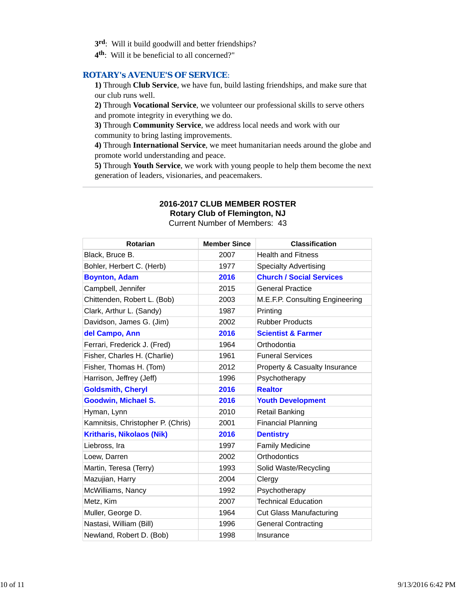- **3rd**: Will it build goodwill and better friendships?
- **4th**: Will it be beneficial to all concerned?"

#### *ROTARY's AVENUE'S OF SERVICE*:

**1)** Through **Club Service**, we have fun, build lasting friendships, and make sure that our club runs well.

**2)** Through **Vocational Service**, we volunteer our professional skills to serve others and promote integrity in everything we do.

**3)** Through **Community Service**, we address local needs and work with our community to bring lasting improvements.

**4)** Through **International Service**, we meet humanitarian needs around the globe and promote world understanding and peace.

**5)** Through **Youth Service**, we work with young people to help them become the next generation of leaders, visionaries, and peacemakers.

# **2016-2017 CLUB MEMBER ROSTER**

**Rotary Club of Flemington, NJ**

Current Number of Members: 43

| <b>Rotarian</b>                   | <b>Member Since</b> | <b>Classification</b>           |
|-----------------------------------|---------------------|---------------------------------|
| Black, Bruce B.                   | 2007                | <b>Health and Fitness</b>       |
| Bohler, Herbert C. (Herb)         | 1977                | <b>Specialty Advertising</b>    |
| <b>Boynton, Adam</b>              | 2016                | <b>Church / Social Services</b> |
| Campbell, Jennifer                | 2015                | <b>General Practice</b>         |
| Chittenden, Robert L. (Bob)       | 2003                | M.E.F.P. Consulting Engineering |
| Clark, Arthur L. (Sandy)          | 1987                | Printing                        |
| Davidson, James G. (Jim)          | 2002                | <b>Rubber Products</b>          |
| del Campo, Ann                    | 2016                | <b>Scientist &amp; Farmer</b>   |
| Ferrari, Frederick J. (Fred)      | 1964                | Orthodontia                     |
| Fisher, Charles H. (Charlie)      | 1961                | <b>Funeral Services</b>         |
| Fisher, Thomas H. (Tom)           | 2012                | Property & Casualty Insurance   |
| Harrison, Jeffrey (Jeff)          | 1996                | Psychotherapy                   |
| <b>Goldsmith, Cheryl</b>          | 2016                | <b>Realtor</b>                  |
| <b>Goodwin, Michael S.</b>        | 2016                | <b>Youth Development</b>        |
| Hyman, Lynn                       | 2010                | <b>Retail Banking</b>           |
| Kamnitsis, Christopher P. (Chris) | 2001                | <b>Financial Planning</b>       |
| <b>Kritharis, Nikolaos (Nik)</b>  | 2016                | <b>Dentistry</b>                |
| Liebross, Ira                     | 1997                | <b>Family Medicine</b>          |
| Loew, Darren                      | 2002                | Orthodontics                    |
| Martin, Teresa (Terry)            | 1993                | Solid Waste/Recycling           |
| Mazujian, Harry                   | 2004                | Clergy                          |
| McWilliams, Nancy                 | 1992                | Psychotherapy                   |
| Metz, Kim                         | 2007                | <b>Technical Education</b>      |
| Muller, George D.                 | 1964                | <b>Cut Glass Manufacturing</b>  |
| Nastasi, William (Bill)           | 1996                | <b>General Contracting</b>      |
| Newland, Robert D. (Bob)          | 1998                | Insurance                       |